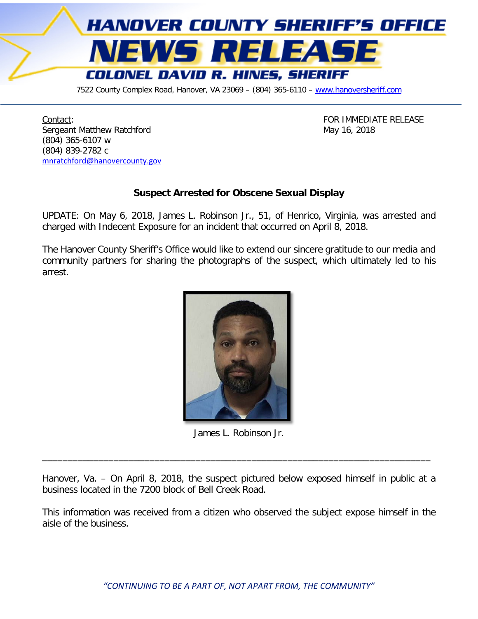

7522 County Complex Road, Hanover, VA 23069 - (804) 365-6110 - [www.hanoversheriff.com](http://www.hanoversheriff.com/)

Contact: Contact: ELEASE CONTACT: ELEASE CONTACT: ELEASE CONTACT: ELEASE CONTACT: Sergeant Matthew Ratchford May 16, 2018 (804) 365-6107 w (804) 839-2782 c [mnratchford@hanovercounty.gov](mailto:mnratchford@hanovercounty.gov)

## **Suspect Arrested for Obscene Sexual Display**

UPDATE: On May 6, 2018, James L. Robinson Jr., 51, of Henrico, Virginia, was arrested and charged with Indecent Exposure for an incident that occurred on April 8, 2018.

The Hanover County Sheriff's Office would like to extend our sincere gratitude to our media and community partners for sharing the photographs of the suspect, which ultimately led to his arrest.



James L. Robinson Jr.

\_\_\_\_\_\_\_\_\_\_\_\_\_\_\_\_\_\_\_\_\_\_\_\_\_\_\_\_\_\_\_\_\_\_\_\_\_\_\_\_\_\_\_\_\_\_\_\_\_\_\_\_\_\_\_\_\_\_\_\_\_\_\_\_\_\_\_\_\_\_\_\_\_\_\_\_

Hanover, Va. – On April 8, 2018, the suspect pictured below exposed himself in public at a business located in the 7200 block of Bell Creek Road.

This information was received from a citizen who observed the subject expose himself in the aisle of the business.

*"CONTINUING TO BE A PART OF, NOT APART FROM, THE COMMUNITY"*